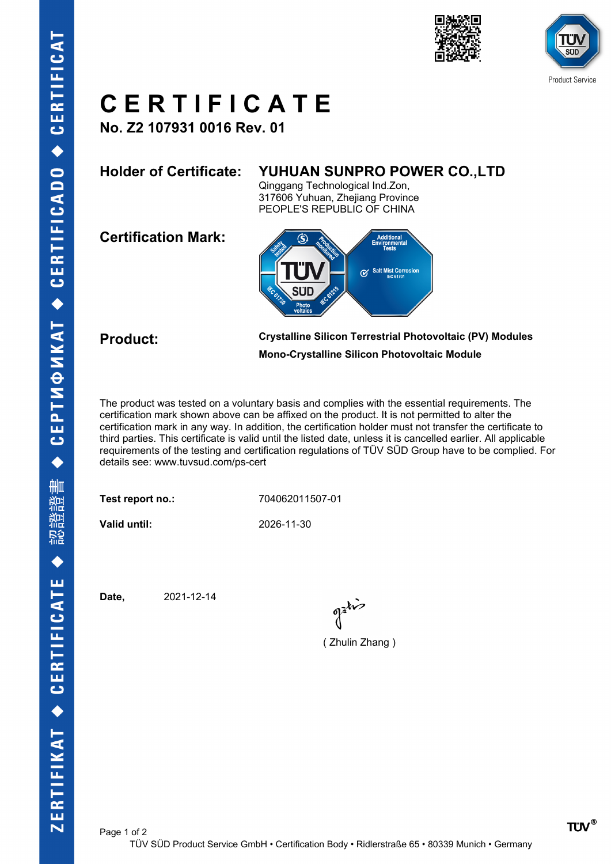





## **C E R T I F I C A T E**

**No. Z2 107931 0016 Rev. 01**

### **Holder of Certificate: YUHUAN SUNPRO POWER CO.,LTD**

Qinggang Technological Ind.Zon, 317606 Yuhuan, Zhejiang Province PEOPLE'S REPUBLIC OF CHINA

**Certification Mark:**



**Product: Crystalline Silicon Terrestrial Photovoltaic (PV) Modules Mono-Crystalline Silicon Photovoltaic Module**

The product was tested on a voluntary basis and complies with the essential requirements. The certification mark shown above can be affixed on the product. It is not permitted to alter the certification mark in any way. In addition, the certification holder must not transfer the certificate to third parties. This certificate is valid until the listed date, unless it is cancelled earlier. All applicable requirements of the testing and certification regulations of TÜV SÜD Group have to be complied. For details see: www.tuvsud.com/ps-cert

**Test report no.:** 704062011507-01

**Valid until:** 2026-11-30

**Date,** 2021-12-14

( Zhulin Zhang )